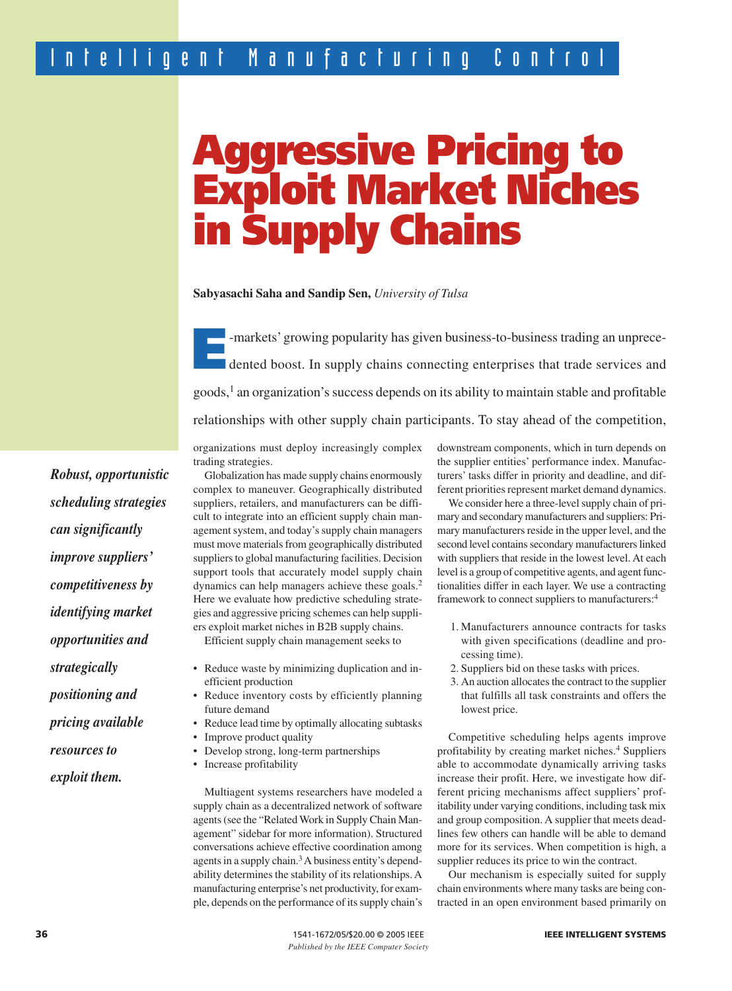# **Aggressive Pricing to Exploit Market Niches in Supply Chains**

**Sabyasachi Saha and Sandip Sen,** *University of Tulsa*

**EP-markets' growing popularity has given business-to-business trading an unprece-<br>dented boost. In supply chains connecting enterprises that trade services and** goods,1 an organization's success depends on its ability to maintain stable and profitable relationships with other supply chain participants. To stay ahead of the competition,

organizations must deploy increasingly complex trading strategies.

Globalization has made supply chains enormously complex to maneuver. Geographically distributed suppliers, retailers, and manufacturers can be difficult to integrate into an efficient supply chain management system, and today's supply chain managers must move materials from geographically distributed suppliers to global manufacturing facilities. Decision support tools that accurately model supply chain dynamics can help managers achieve these goals.<sup>2</sup> Here we evaluate how predictive scheduling strategies and aggressive pricing schemes can help suppliers exploit market niches in B2B supply chains.

Efficient supply chain management seeks to

- Reduce waste by minimizing duplication and inefficient production
- Reduce inventory costs by efficiently planning future demand
- Reduce lead time by optimally allocating subtasks
- Improve product quality
- Develop strong, long-term partnerships
- Increase profitability

Multiagent systems researchers have modeled a supply chain as a decentralized network of software agents (see the "Related Work in Supply Chain Management" sidebar for more information). Structured conversations achieve effective coordination among agents in a supply chain.<sup>3</sup> A business entity's dependability determines the stability of its relationships. A manufacturing enterprise's net productivity, for example, depends on the performance of its supply chain's downstream components, which in turn depends on the supplier entities' performance index. Manufacturers' tasks differ in priority and deadline, and different priorities represent market demand dynamics.

We consider here a three-level supply chain of primary and secondary manufacturers and suppliers: Primary manufacturers reside in the upper level, and the second level contains secondary manufacturers linked with suppliers that reside in the lowest level. At each level is a group of competitive agents, and agent functionalities differ in each layer. We use a contracting framework to connect suppliers to manufacturers:4

- 1. Manufacturers announce contracts for tasks with given specifications (deadline and processing time).
- 2. Suppliers bid on these tasks with prices.
- 3. An auction allocates the contract to the supplier that fulfills all task constraints and offers the lowest price.

Competitive scheduling helps agents improve profitability by creating market niches.<sup>4</sup> Suppliers able to accommodate dynamically arriving tasks increase their profit. Here, we investigate how different pricing mechanisms affect suppliers' profitability under varying conditions, including task mix and group composition. A supplier that meets deadlines few others can handle will be able to demand more for its services. When competition is high, a supplier reduces its price to win the contract.

Our mechanism is especially suited for supply chain environments where many tasks are being contracted in an open environment based primarily on

*Robust, opportunistic scheduling strategies can significantly improve suppliers' competitiveness by identifying market opportunities and strategically positioning and pricing available resources to exploit them.*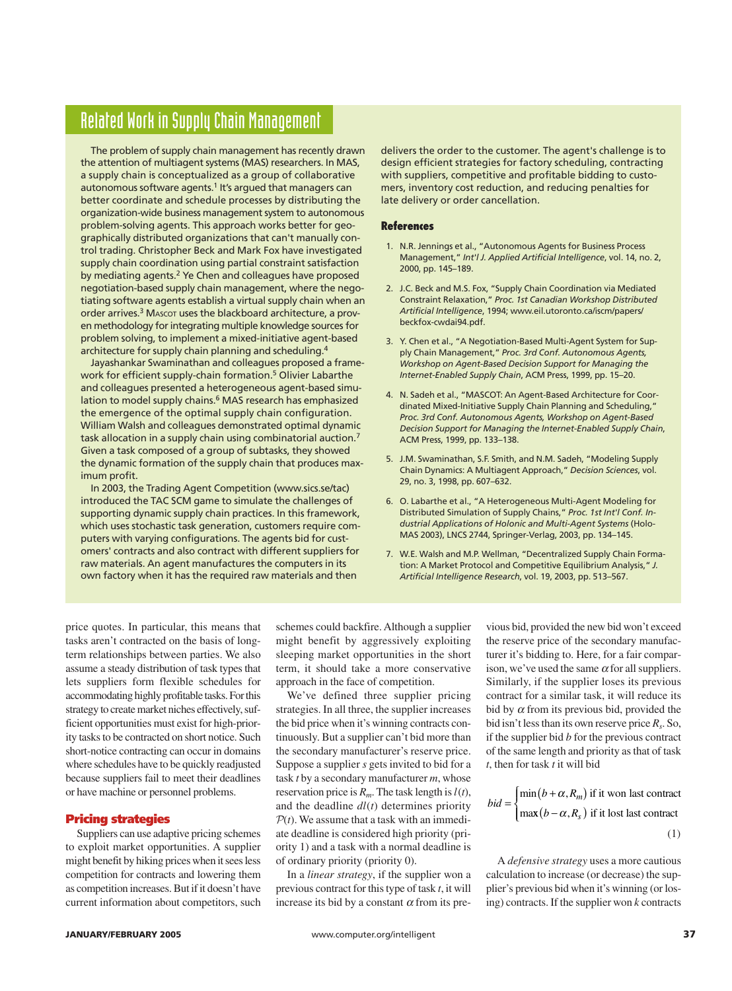## Related Work in Supply Chain Management

The problem of supply chain management has recently drawn the attention of multiagent systems (MAS) researchers. In MAS, a supply chain is conceptualized as a group of collaborative autonomous software agents.<sup>1</sup> It's argued that managers can better coordinate and schedule processes by distributing the organization-wide business management system to autonomous problem-solving agents. This approach works better for geographically distributed organizations that can't manually control trading. Christopher Beck and Mark Fox have investigated supply chain coordination using partial constraint satisfaction by mediating agents.<sup>2</sup> Ye Chen and colleagues have proposed negotiation-based supply chain management, where the negotiating software agents establish a virtual supply chain when an order arrives.<sup>3</sup> M<sub>ASCOT</sub> uses the blackboard architecture, a proven methodology for integrating multiple knowledge sources for problem solving, to implement a mixed-initiative agent-based architecture for supply chain planning and scheduling.<sup>4</sup>

Jayashankar Swaminathan and colleagues proposed a framework for efficient supply-chain formation.<sup>5</sup> Olivier Labarthe and colleagues presented a heterogeneous agent-based simulation to model supply chains.<sup>6</sup> MAS research has emphasized the emergence of the optimal supply chain configuration. William Walsh and colleagues demonstrated optimal dynamic task allocation in a supply chain using combinatorial auction.<sup>7</sup> Given a task composed of a group of subtasks, they showed the dynamic formation of the supply chain that produces maximum profit.

In 2003, the Trading Agent Competition (www.sics.se/tac) introduced the TAC SCM game to simulate the challenges of supporting dynamic supply chain practices. In this framework, which uses stochastic task generation, customers require computers with varying configurations. The agents bid for customers' contracts and also contract with different suppliers for raw materials. An agent manufactures the computers in its own factory when it has the required raw materials and then

delivers the order to the customer. The agent's challenge is to design efficient strategies for factory scheduling, contracting with suppliers, competitive and profitable bidding to customers, inventory cost reduction, and reducing penalties for late delivery or order cancellation.

#### **References**

- 1. N.R. Jennings et al., "Autonomous Agents for Business Process Management," *Int'l J. Applied Artificial Intelligence*, vol. 14, no. 2, 2000, pp. 145–189.
- 2. J.C. Beck and M.S. Fox, "Supply Chain Coordination via Mediated Constraint Relaxation," *Proc. 1st Canadian Workshop Distributed Artificial Intelligence*, 1994; www.eil.utoronto.ca/iscm/papers/ beckfox-cwdai94.pdf.
- 3. Y. Chen et al., "A Negotiation-Based Multi-Agent System for Supply Chain Management," *Proc. 3rd Conf. Autonomous Agents, Workshop on Agent-Based Decision Support for Managing the Internet-Enabled Supply Chain*, ACM Press, 1999, pp. 15–20.
- 4. N. Sadeh et al., "MASCOT: An Agent-Based Architecture for Coordinated Mixed-Initiative Supply Chain Planning and Scheduling," *Proc. 3rd Conf. Autonomous Agents, Workshop on Agent-Based Decision Support for Managing the Internet-Enabled Supply Chain*, ACM Press, 1999, pp. 133–138.
- 5. J.M. Swaminathan, S.F. Smith, and N.M. Sadeh, "Modeling Supply Chain Dynamics: A Multiagent Approach," *Decision Sciences*, vol. 29, no. 3, 1998, pp. 607–632.
- 6. O. Labarthe et al., "A Heterogeneous Multi-Agent Modeling for Distributed Simulation of Supply Chains," *Proc. 1st Int'l Conf. Industrial Applications of Holonic and Multi-Agent Systems* (Holo-MAS 2003), LNCS 2744, Springer-Verlag, 2003, pp. 134–145.
- 7. W.E. Walsh and M.P. Wellman, "Decentralized Supply Chain Formation: A Market Protocol and Competitive Equilibrium Analysis," *J. Artificial Intelligence Research*, vol. 19, 2003, pp. 513–567.

price quotes. In particular, this means that tasks aren't contracted on the basis of longterm relationships between parties. We also assume a steady distribution of task types that lets suppliers form flexible schedules for accommodating highly profitable tasks. For this strategy to create market niches effectively, sufficient opportunities must exist for high-priority tasks to be contracted on short notice. Such short-notice contracting can occur in domains where schedules have to be quickly readjusted because suppliers fail to meet their deadlines or have machine or personnel problems.

#### **Pricing strategies**

Suppliers can use adaptive pricing schemes to exploit market opportunities. A supplier might benefit by hiking prices when it sees less competition for contracts and lowering them as competition increases. But if it doesn't have current information about competitors, such

schemes could backfire. Although a supplier might benefit by aggressively exploiting sleeping market opportunities in the short term, it should take a more conservative approach in the face of competition.

We've defined three supplier pricing strategies. In all three, the supplier increases the bid price when it's winning contracts continuously. But a supplier can't bid more than the secondary manufacturer's reserve price. Suppose a supplier *s* gets invited to bid for a task *t* by a secondary manufacturer *m*, whose reservation price is  $R_m$ . The task length is  $l(t)$ , and the deadline *dl*(*t*) determines priority  $P(t)$ . We assume that a task with an immediate deadline is considered high priority (priority 1) and a task with a normal deadline is of ordinary priority (priority 0).

In a *linear strategy*, if the supplier won a previous contract for this type of task *t*, it will increase its bid by a constant  $\alpha$  from its pre-

vious bid, provided the new bid won't exceed the reserve price of the secondary manufacturer it's bidding to. Here, for a fair comparison, we've used the same  $\alpha$  for all suppliers. Similarly, if the supplier loses its previous contract for a similar task, it will reduce its bid by  $\alpha$  from its previous bid, provided the bid isn't less than its own reserve price *Rs*. So, if the supplier bid *b* for the previous contract of the same length and priority as that of task *t*, then for task *t* it will bid

$$
bid = \begin{cases} \min(b + \alpha, R_m) \text{ if it won last contract} \\ \max(b - \alpha, R_s) \text{ if it lost last contract} \end{cases}
$$
 (1)

A *defensive strategy* uses a more cautious calculation to increase (or decrease) the supplier's previous bid when it's winning (or losing) contracts. If the supplier won *k* contracts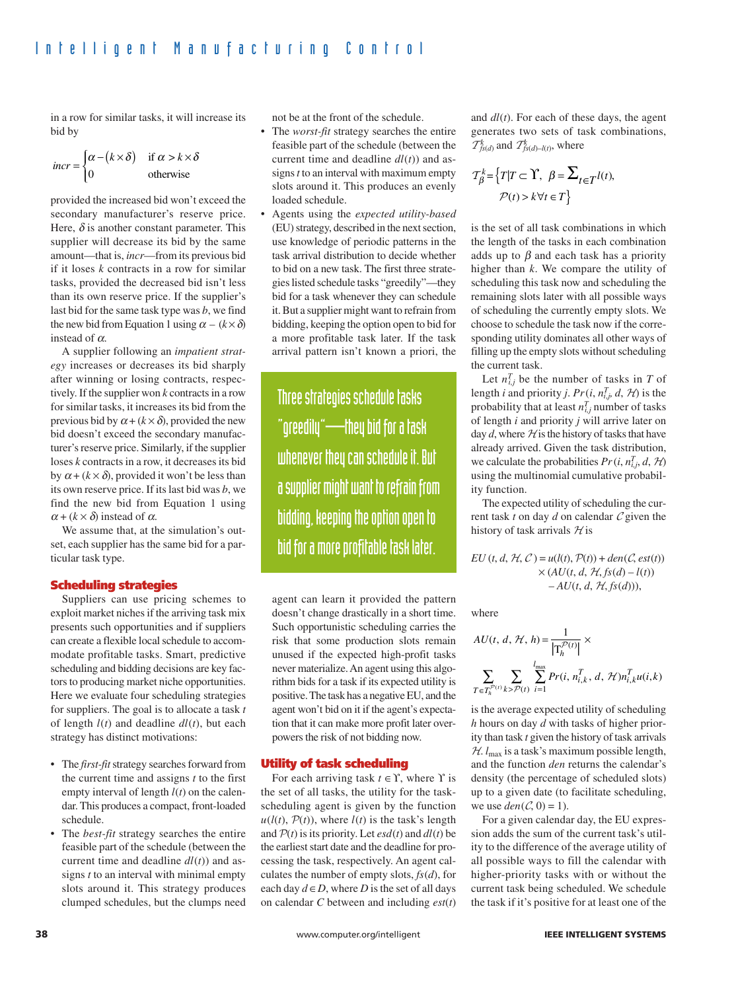in a row for similar tasks, it will increase its bid by

$$
incr = \begin{cases} \alpha - (k \times \delta) & \text{if } \alpha > k \times \delta \\ 0 & \text{otherwise} \end{cases}
$$

provided the increased bid won't exceed the secondary manufacturer's reserve price. Here,  $\delta$  is another constant parameter. This supplier will decrease its bid by the same amount—that is, *incr*—from its previous bid if it loses *k* contracts in a row for similar tasks, provided the decreased bid isn't less than its own reserve price. If the supplier's last bid for the same task type was *b*, we find the new bid from Equation 1 using  $\alpha - (k \times \delta)$ instead of  $\alpha$ .

A supplier following an *impatient strategy* increases or decreases its bid sharply after winning or losing contracts, respectively. If the supplier won *k* contracts in a row for similar tasks, it increases its bid from the previous bid by  $\alpha + (k \times \delta)$ , provided the new bid doesn't exceed the secondary manufacturer's reserve price. Similarly, if the supplier loses *k* contracts in a row, it decreases its bid by  $\alpha + (k \times \delta)$ , provided it won't be less than its own reserve price. If its last bid was *b*, we find the new bid from Equation 1 using  $\alpha + (k \times \delta)$  instead of  $\alpha$ .

We assume that, at the simulation's outset, each supplier has the same bid for a particular task type.

#### **Scheduling strategies**

Suppliers can use pricing schemes to exploit market niches if the arriving task mix presents such opportunities and if suppliers can create a flexible local schedule to accommodate profitable tasks. Smart, predictive scheduling and bidding decisions are key factors to producing market niche opportunities. Here we evaluate four scheduling strategies for suppliers. The goal is to allocate a task *t* of length  $l(t)$  and deadline  $dl(t)$ , but each strategy has distinct motivations:

- The *first-fit*strategy searches forward from the current time and assigns *t* to the first empty interval of length *l*(*t*) on the calendar. This produces a compact, front-loaded schedule.
- The *best-fit* strategy searches the entire feasible part of the schedule (between the current time and deadline *dl*(*t*)) and assigns *t* to an interval with minimal empty slots around it. This strategy produces clumped schedules, but the clumps need

not be at the front of the schedule.

- The *worst-fit* strategy searches the entire feasible part of the schedule (between the current time and deadline *dl*(*t*)) and assigns *t* to an interval with maximum empty slots around it. This produces an evenly loaded schedule.
- Agents using the *expected utility-based* (EU) strategy, described in the next section, use knowledge of periodic patterns in the task arrival distribution to decide whether to bid on a new task. The first three strategies listed schedule tasks "greedily"—they bid for a task whenever they can schedule it. But a supplier might want to refrain from bidding, keeping the option open to bid for a more profitable task later. If the task arrival pattern isn't known a priori, the

Three strategies schedule tasks "greedily"—they bid for a task whenever they can schedule it. But a supplier might want to refrain from bidding, keeping the option open to bid for a more profitable task later.

agent can learn it provided the pattern doesn't change drastically in a short time. Such opportunistic scheduling carries the risk that some production slots remain unused if the expected high-profit tasks never materialize. An agent using this algorithm bids for a task if its expected utility is positive. The task has a negative EU, and the agent won't bid on it if the agent's expectation that it can make more profit later overpowers the risk of not bidding now.

#### **Utility of task scheduling**

For each arriving task  $t \in \Upsilon$ , where  $\Upsilon$  is the set of all tasks, the utility for the taskscheduling agent is given by the function  $u(l(t), \mathcal{P}(t))$ , where  $l(t)$  is the task's length and  $P(t)$  is its priority. Let  $\epsilon s d(t)$  and  $dl(t)$  be the earliest start date and the deadline for processing the task, respectively. An agent calculates the number of empty slots, *fs*(*d*), for each day  $d \in D$ , where *D* is the set of all days on calendar *C* between and including *est*(*t*)

and *dl*(*t*). For each of these days, the agent generates two sets of task combinations,  $\mathcal{T}_{fs(d)}^k$  and  $\mathcal{T}_{fs(d)-l(t)}^k$ , where

$$
\mathcal{T}_{\beta}^{k} = \left\{ T | T \subset \Upsilon, \ \beta = \sum_{t \in T} l(t), \right. \\
\mathcal{P}(t) > k \forall t \in T \right\}
$$

is the set of all task combinations in which the length of the tasks in each combination adds up to  $\beta$  and each task has a priority higher than *k*. We compare the utility of scheduling this task now and scheduling the remaining slots later with all possible ways of scheduling the currently empty slots. We choose to schedule the task now if the corresponding utility dominates all other ways of filling up the empty slots without scheduling the current task.

Let  $n_{i,j}^T$  be the number of tasks in *T* of length *i* and priority *j*.  $Pr(i, n_{i,j}^T, d, H)$  is the probability that at least  $n_{i,j}^T$  number of tasks of length *i* and priority *j* will arrive later on day  $d$ , where  $H$  is the history of tasks that have already arrived. Given the task distribution, we calculate the probabilities  $Pr(i, n_{i,j}^T, d, H)$ using the multinomial cumulative probability function.

The expected utility of scheduling the current task  $t$  on day  $d$  on calendar  $C$  given the history of task arrivals  $H$  is

 $EU(t, d, H, C) = u(l(t), P(t)) + den(C, est(t))$  $\times (AU(t, d, H, fs(d) - l(t)))$  $-AU(t, d, H, fs(d))),$ 

where

$$
\begin{aligned} & AU(t,\,d,\,\mathcal{H},\,h)\!=\!\frac{1}{\left|\mathbf{T}^{\mathcal{P}(t)}_h\right|}\times \\ & \sum_{T\in T^{\mathcal{P}(t)}_h}\sum_{k>\mathcal{P}(t)}\sum_{i=1}^{l_\text{max}}Pr(i,\,n_{i,k}^T,\,d,\,\mathcal{H})n_{i,k}^Tu(i,k) \end{aligned}
$$

is the average expected utility of scheduling *h* hours on day *d* with tasks of higher priority than task *t* given the history of task arrivals  $H. l_{\text{max}}$  is a task's maximum possible length, and the function *den* returns the calendar's density (the percentage of scheduled slots) up to a given date (to facilitate scheduling, we use  $den(\mathcal{C}, 0) = 1$ .

For a given calendar day, the EU expression adds the sum of the current task's utility to the difference of the average utility of all possible ways to fill the calendar with higher-priority tasks with or without the current task being scheduled. We schedule the task if it's positive for at least one of the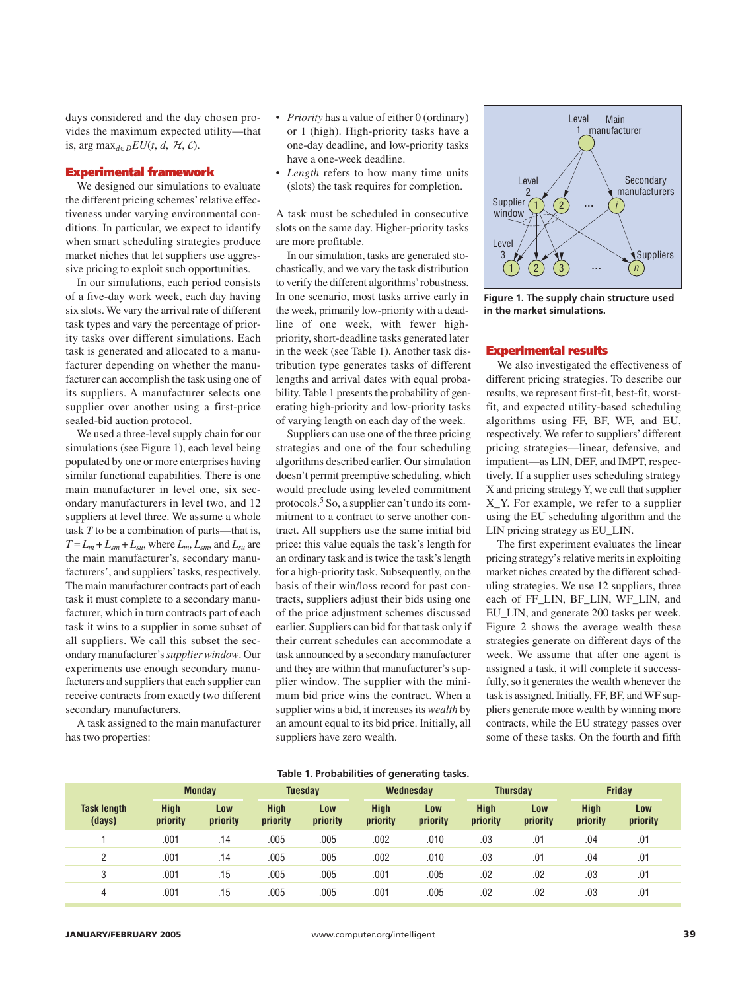days considered and the day chosen provides the maximum expected utility—that is, arg  $\max_{d \in D} EU(t, d, H, C)$ .

#### **Experimental framework**

We designed our simulations to evaluate the different pricing schemes' relative effectiveness under varying environmental conditions. In particular, we expect to identify when smart scheduling strategies produce market niches that let suppliers use aggressive pricing to exploit such opportunities.

In our simulations, each period consists of a five-day work week, each day having six slots. We vary the arrival rate of different task types and vary the percentage of priority tasks over different simulations. Each task is generated and allocated to a manufacturer depending on whether the manufacturer can accomplish the task using one of its suppliers. A manufacturer selects one supplier over another using a first-price sealed-bid auction protocol.

We used a three-level supply chain for our simulations (see Figure 1), each level being populated by one or more enterprises having similar functional capabilities. There is one main manufacturer in level one, six secondary manufacturers in level two, and 12 suppliers at level three. We assume a whole task *T* to be a combination of parts—that is,  $T = L_m + L_{sm} + L_{su}$ , where  $L_m$ ,  $L_{sm}$ , and  $L_{su}$  are the main manufacturer's, secondary manufacturers', and suppliers'tasks, respectively. The main manufacturer contracts part of each task it must complete to a secondary manufacturer, which in turn contracts part of each task it wins to a supplier in some subset of all suppliers. We call this subset the secondary manufacturer's*supplier window*. Our experiments use enough secondary manufacturers and suppliers that each supplier can receive contracts from exactly two different secondary manufacturers.

A task assigned to the main manufacturer has two properties:

- *Priority* has a value of either 0 (ordinary) or 1 (high). High-priority tasks have a one-day deadline, and low-priority tasks have a one-week deadline.
- *Length* refers to how many time units (slots) the task requires for completion.

A task must be scheduled in consecutive slots on the same day. Higher-priority tasks are more profitable.

In our simulation, tasks are generated stochastically, and we vary the task distribution to verify the different algorithms' robustness. In one scenario, most tasks arrive early in the week, primarily low-priority with a deadline of one week, with fewer highpriority, short-deadline tasks generated later in the week (see Table 1). Another task distribution type generates tasks of different lengths and arrival dates with equal probability. Table 1 presents the probability of generating high-priority and low-priority tasks of varying length on each day of the week.

Suppliers can use one of the three pricing strategies and one of the four scheduling algorithms described earlier. Our simulation doesn't permit preemptive scheduling, which would preclude using leveled commitment protocols.5 So, a supplier can't undo its commitment to a contract to serve another contract. All suppliers use the same initial bid price: this value equals the task's length for an ordinary task and is twice the task's length for a high-priority task. Subsequently, on the basis of their win/loss record for past contracts, suppliers adjust their bids using one of the price adjustment schemes discussed earlier. Suppliers can bid for that task only if their current schedules can accommodate a task announced by a secondary manufacturer and they are within that manufacturer's supplier window. The supplier with the minimum bid price wins the contract. When a supplier wins a bid, it increases its *wealth* by an amount equal to its bid price. Initially, all suppliers have zero wealth.



**Figure 1. The supply chain structure used in the market simulations.**

#### **Experimental results**

We also investigated the effectiveness of different pricing strategies. To describe our results, we represent first-fit, best-fit, worstfit, and expected utility-based scheduling algorithms using FF, BF, WF, and EU, respectively. We refer to suppliers' different pricing strategies—linear, defensive, and impatient—as LIN, DEF, and IMPT, respectively. If a supplier uses scheduling strategy X and pricing strategy Y, we call that supplier X\_Y. For example, we refer to a supplier using the EU scheduling algorithm and the LIN pricing strategy as EU\_LIN.

The first experiment evaluates the linear pricing strategy's relative merits in exploiting market niches created by the different scheduling strategies. We use 12 suppliers, three each of FF\_LIN, BF\_LIN, WF\_LIN, and EU\_LIN, and generate 200 tasks per week. Figure 2 shows the average wealth these strategies generate on different days of the week. We assume that after one agent is assigned a task, it will complete it successfully, so it generates the wealth whenever the task is assigned. Initially, FF, BF, and WF suppliers generate more wealth by winning more contracts, while the EU strategy passes over some of these tasks. On the fourth and fifth

#### **Table 1. Probabilities of generating tasks.**

|                              | <b>Monday</b>           |                 | <b>Tuesday</b>   |                 | Wednesday               |                 | <b>Thursday</b>  |                 | <b>Friday</b>    |                 |
|------------------------------|-------------------------|-----------------|------------------|-----------------|-------------------------|-----------------|------------------|-----------------|------------------|-----------------|
| <b>Task length</b><br>(days) | <b>High</b><br>priority | Low<br>priority | High<br>priority | Low<br>priority | <b>High</b><br>priority | Low<br>priority | High<br>priority | Low<br>priority | High<br>priority | Low<br>priority |
|                              | .001                    | .14             | .005             | .005            | .002                    | .010            | .03              | .01             | .04              | .01             |
| C                            | .001                    | .14             | .005             | .005            | .002                    | .010            | .03              | .01             | .04              | .01             |
| 3                            | .001                    | .15             | .005             | .005            | .001                    | .005            | .02              | .02             | .03              | .01             |
| 4                            | .001                    | .15             | .005             | .005            | .001                    | .005            | .02              | .02             | .03              | .01             |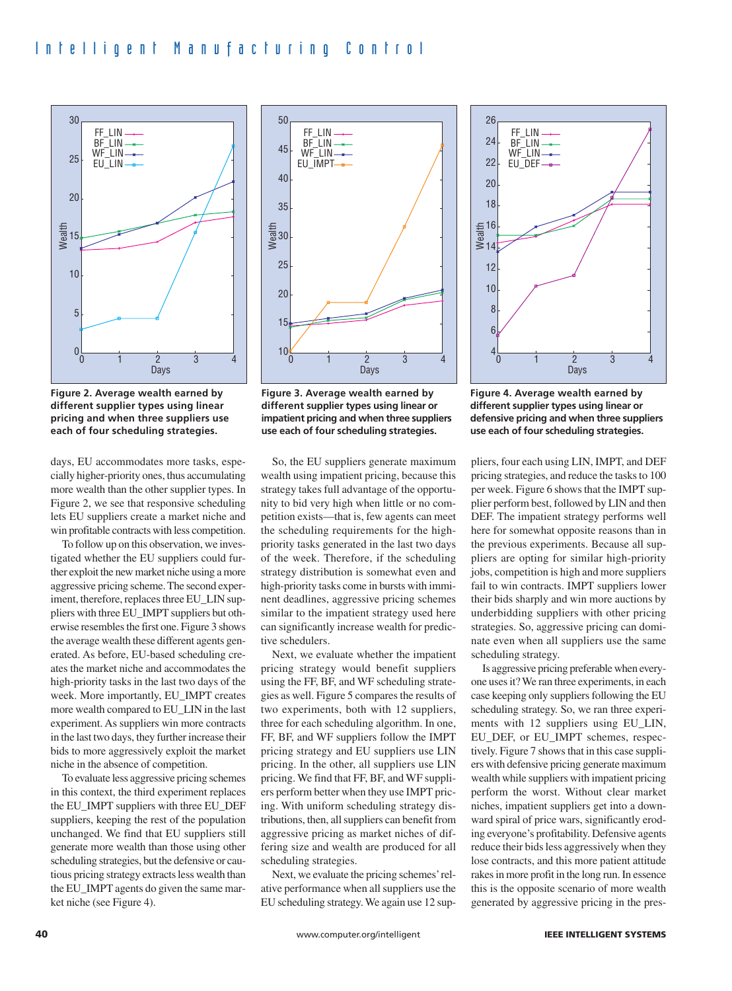

**Figure 2. Average wealth earned by different supplier types using linear pricing and when three suppliers use each of four scheduling strategies.**

days, EU accommodates more tasks, especially higher-priority ones, thus accumulating more wealth than the other supplier types. In Figure 2, we see that responsive scheduling lets EU suppliers create a market niche and win profitable contracts with less competition.

To follow up on this observation, we investigated whether the EU suppliers could further exploit the new market niche using a more aggressive pricing scheme. The second experiment, therefore, replaces three EU\_LIN suppliers with three EU\_IMPT suppliers but otherwise resembles the first one. Figure 3 shows the average wealth these different agents generated. As before, EU-based scheduling creates the market niche and accommodates the high-priority tasks in the last two days of the week. More importantly, EU\_IMPT creates more wealth compared to EU\_LIN in the last experiment. As suppliers win more contracts in the last two days, they further increase their bids to more aggressively exploit the market niche in the absence of competition.

To evaluate less aggressive pricing schemes in this context, the third experiment replaces the EU\_IMPT suppliers with three EU\_DEF suppliers, keeping the rest of the population unchanged. We find that EU suppliers still generate more wealth than those using other scheduling strategies, but the defensive or cautious pricing strategy extracts less wealth than the EU\_IMPT agents do given the same market niche (see Figure 4).



**Figure 3. Average wealth earned by different supplier types using linear or impatient pricing and when three suppliers use each of four scheduling strategies.**

So, the EU suppliers generate maximum wealth using impatient pricing, because this strategy takes full advantage of the opportunity to bid very high when little or no competition exists—that is, few agents can meet the scheduling requirements for the highpriority tasks generated in the last two days of the week. Therefore, if the scheduling strategy distribution is somewhat even and high-priority tasks come in bursts with imminent deadlines, aggressive pricing schemes similar to the impatient strategy used here can significantly increase wealth for predictive schedulers.

Next, we evaluate whether the impatient pricing strategy would benefit suppliers using the FF, BF, and WF scheduling strategies as well. Figure 5 compares the results of two experiments, both with 12 suppliers, three for each scheduling algorithm. In one, FF, BF, and WF suppliers follow the IMPT pricing strategy and EU suppliers use LIN pricing. In the other, all suppliers use LIN pricing. We find that FF, BF, and WF suppliers perform better when they use IMPT pricing. With uniform scheduling strategy distributions, then, all suppliers can benefit from aggressive pricing as market niches of differing size and wealth are produced for all scheduling strategies.

Next, we evaluate the pricing schemes' relative performance when all suppliers use the EU scheduling strategy. We again use 12 sup-



**Figure 4. Average wealth earned by different supplier types using linear or defensive pricing and when three suppliers use each of four scheduling strategies.**

pliers, four each using LIN, IMPT, and DEF pricing strategies, and reduce the tasks to 100 per week. Figure 6 shows that the IMPT supplier perform best, followed by LIN and then DEF. The impatient strategy performs well here for somewhat opposite reasons than in the previous experiments. Because all suppliers are opting for similar high-priority jobs, competition is high and more suppliers fail to win contracts. IMPT suppliers lower their bids sharply and win more auctions by underbidding suppliers with other pricing strategies. So, aggressive pricing can dominate even when all suppliers use the same scheduling strategy.

Is aggressive pricing preferable when everyone uses it? We ran three experiments, in each case keeping only suppliers following the EU scheduling strategy. So, we ran three experiments with 12 suppliers using EU\_LIN, EU\_DEF, or EU\_IMPT schemes, respectively. Figure 7 shows that in this case suppliers with defensive pricing generate maximum wealth while suppliers with impatient pricing perform the worst. Without clear market niches, impatient suppliers get into a downward spiral of price wars, significantly eroding everyone's profitability. Defensive agents reduce their bids less aggressively when they lose contracts, and this more patient attitude rakes in more profit in the long run. In essence this is the opposite scenario of more wealth generated by aggressive pricing in the pres-